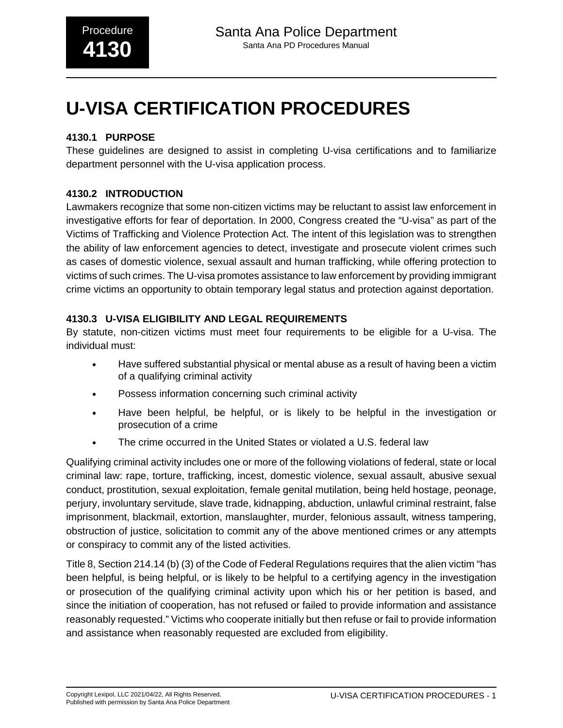# **U-VISA CERTIFICATION PROCEDURES**

# **4130.1 PURPOSE**

These guidelines are designed to assist in completing U-visa certifications and to familiarize department personnel with the U-visa application process.

# **4130.2 INTRODUCTION**

Lawmakers recognize that some non-citizen victims may be reluctant to assist law enforcement in investigative efforts for fear of deportation. In 2000, Congress created the "U-visa" as part of the Victims of Trafficking and Violence Protection Act. The intent of this legislation was to strengthen the ability of law enforcement agencies to detect, investigate and prosecute violent crimes such as cases of domestic violence, sexual assault and human trafficking, while offering protection to victims of such crimes. The U-visa promotes assistance to law enforcement by providing immigrant crime victims an opportunity to obtain temporary legal status and protection against deportation.

## **4130.3 U-VISA ELIGIBILITY AND LEGAL REQUIREMENTS**

By statute, non-citizen victims must meet four requirements to be eligible for a U-visa. The individual must:

- Have suffered substantial physical or mental abuse as a result of having been a victim of a qualifying criminal activity
- Possess information concerning such criminal activity
- Have been helpful, be helpful, or is likely to be helpful in the investigation or prosecution of a crime
- The crime occurred in the United States or violated a U.S. federal law

Qualifying criminal activity includes one or more of the following violations of federal, state or local criminal law: rape, torture, trafficking, incest, domestic violence, sexual assault, abusive sexual conduct, prostitution, sexual exploitation, female genital mutilation, being held hostage, peonage, perjury, involuntary servitude, slave trade, kidnapping, abduction, unlawful criminal restraint, false imprisonment, blackmail, extortion, manslaughter, murder, felonious assault, witness tampering, obstruction of justice, solicitation to commit any of the above mentioned crimes or any attempts or conspiracy to commit any of the listed activities.

Title 8, Section 214.14 (b) (3) of the Code of Federal Regulations requires that the alien victim "has been helpful, is being helpful, or is likely to be helpful to a certifying agency in the investigation or prosecution of the qualifying criminal activity upon which his or her petition is based, and since the initiation of cooperation, has not refused or failed to provide information and assistance reasonably requested." Victims who cooperate initially but then refuse or fail to provide information and assistance when reasonably requested are excluded from eligibility.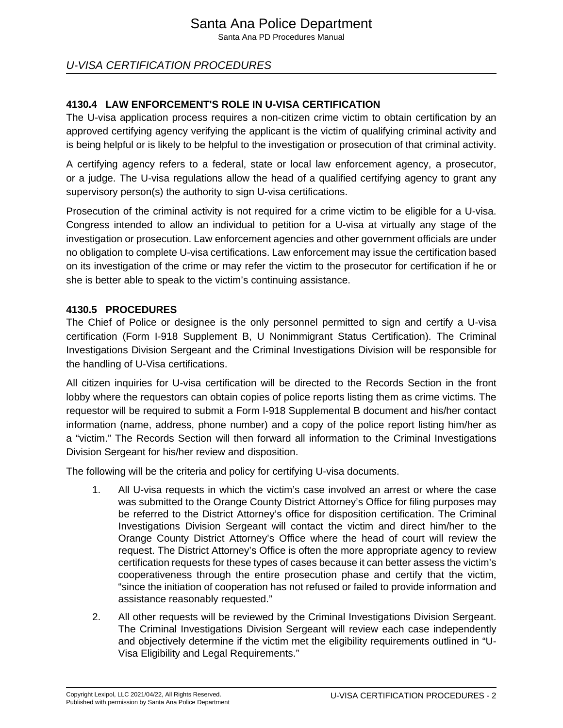Santa Ana PD Procedures Manual

# U-VISA CERTIFICATION PROCEDURES

## **4130.4 LAW ENFORCEMENT'S ROLE IN U-VISA CERTIFICATION**

The U-visa application process requires a non-citizen crime victim to obtain certification by an approved certifying agency verifying the applicant is the victim of qualifying criminal activity and is being helpful or is likely to be helpful to the investigation or prosecution of that criminal activity.

A certifying agency refers to a federal, state or local law enforcement agency, a prosecutor, or a judge. The U-visa regulations allow the head of a qualified certifying agency to grant any supervisory person(s) the authority to sign U-visa certifications.

Prosecution of the criminal activity is not required for a crime victim to be eligible for a U-visa. Congress intended to allow an individual to petition for a U-visa at virtually any stage of the investigation or prosecution. Law enforcement agencies and other government officials are under no obligation to complete U-visa certifications. Law enforcement may issue the certification based on its investigation of the crime or may refer the victim to the prosecutor for certification if he or she is better able to speak to the victim's continuing assistance.

### **4130.5 PROCEDURES**

The Chief of Police or designee is the only personnel permitted to sign and certify a U-visa certification (Form I-918 Supplement B, U Nonimmigrant Status Certification). The Criminal Investigations Division Sergeant and the Criminal Investigations Division will be responsible for the handling of U-Visa certifications.

All citizen inquiries for U-visa certification will be directed to the Records Section in the front lobby where the requestors can obtain copies of police reports listing them as crime victims. The requestor will be required to submit a Form I-918 Supplemental B document and his/her contact information (name, address, phone number) and a copy of the police report listing him/her as a "victim." The Records Section will then forward all information to the Criminal Investigations Division Sergeant for his/her review and disposition.

The following will be the criteria and policy for certifying U-visa documents.

- 1. All U-visa requests in which the victim's case involved an arrest or where the case was submitted to the Orange County District Attorney's Office for filing purposes may be referred to the District Attorney's office for disposition certification. The Criminal Investigations Division Sergeant will contact the victim and direct him/her to the Orange County District Attorney's Office where the head of court will review the request. The District Attorney's Office is often the more appropriate agency to review certification requests for these types of cases because it can better assess the victim's cooperativeness through the entire prosecution phase and certify that the victim, "since the initiation of cooperation has not refused or failed to provide information and assistance reasonably requested."
- 2. All other requests will be reviewed by the Criminal Investigations Division Sergeant. The Criminal Investigations Division Sergeant will review each case independently and objectively determine if the victim met the eligibility requirements outlined in "U-Visa Eligibility and Legal Requirements."